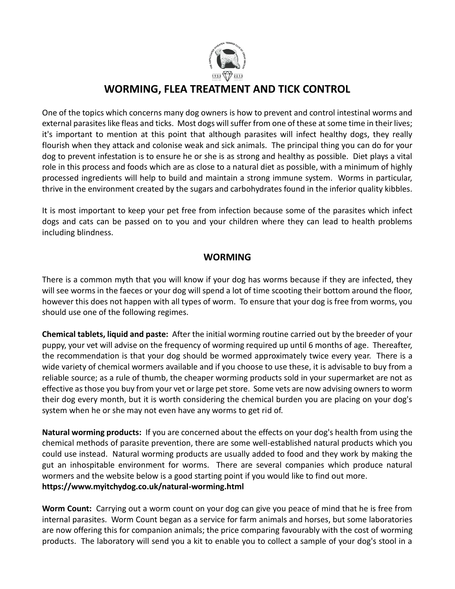

## **WORMING, FLEA TREATMENT AND TICK CONTROL**

One of the topics which concerns many dog owners is how to prevent and control intestinal worms and external parasites like fleas and ticks. Most dogs will suffer from one of these at some time in their lives; it's important to mention at this point that although parasites will infect healthy dogs, they really flourish when they attack and colonise weak and sick animals. The principal thing you can do for your dog to prevent infestation is to ensure he or she is as strong and healthy as possible. Diet plays a vital role in this process and foods which are as close to a natural diet as possible, with a minimum of highly processed ingredients will help to build and maintain a strong immune system. Worms in particular, thrive in the environment created by the sugars and carbohydrates found in the inferior quality kibbles.

It is most important to keep your pet free from infection because some of the parasites which infect dogs and cats can be passed on to you and your children where they can lead to health problems including blindness.

## **WORMING**

There is a common myth that you will know if your dog has worms because if they are infected, they will see worms in the faeces or your dog will spend a lot of time scooting their bottom around the floor, however this does not happen with all types of worm. To ensure that your dog is free from worms, you should use one of the following regimes.

**Chemical tablets, liquid and paste:** After the initial worming routine carried out by the breeder of your puppy, your vet will advise on the frequency of worming required up until 6 months of age. Thereafter, the recommendation is that your dog should be wormed approximately twice every year. There is a wide variety of chemical wormers available and if you choose to use these, it is advisable to buy from a reliable source; as a rule of thumb, the cheaper worming products sold in your supermarket are not as effective as those you buy from your vet or large pet store. Some vets are now advising owners to worm their dog every month, but it is worth considering the chemical burden you are placing on your dog's system when he or she may not even have any worms to get rid of.

**Natural worming products:** If you are concerned about the effects on your dog's health from using the chemical methods of parasite prevention, there are some well-established natural products which you could use instead. Natural worming products are usually added to food and they work by making the gut an inhospitable environment for worms. There are several companies which produce natural wormers and the website below is a good starting point if you would like to find out more. **<https://www.myitchydog.co.uk/natural-worming.html>**

**Worm Count:** Carrying out a worm count on your dog can give you peace of mind that he is free from internal parasites. Worm Count began as a service for farm animals and horses, but some laboratories are now offering this for companion animals; the price comparing favourably with the cost of worming products. The laboratory will send you a kit to enable you to collect a sample of your dog's stool in a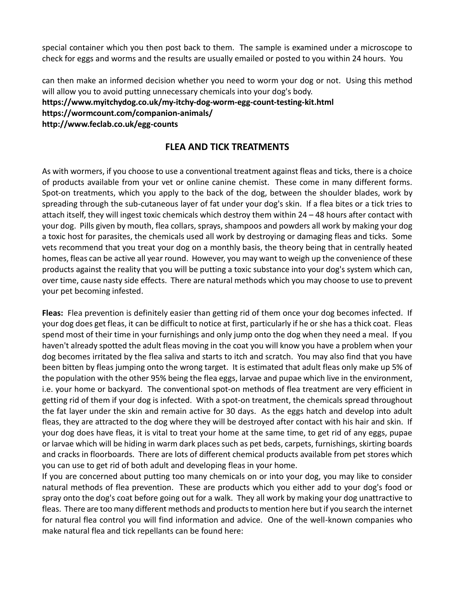special container which you then post back to them. The sample is examined under a microscope to check for eggs and worms and the results are usually emailed or posted to you within 24 hours. You

can then make an informed decision whether you need to worm your dog or not. Using this method will allow you to avoid putting unnecessary chemicals into your dog's body. **<https://www.myitchydog.co.uk/my-itchy-dog-worm-egg-count-testing-kit.html> <https://wormcount.com/companion-animals/> [http://www.feclab.co.uk/egg-counts](http://www.feclab.co.uk/egg-counts/)**

## **FLEA AND TICK TREATMENTS**

As with wormers, if you choose to use a conventional treatment against fleas and ticks, there is a choice of products available from your vet or online canine chemist. These come in many different forms. Spot-on treatments, which you apply to the back of the dog, between the shoulder blades, work by spreading through the sub-cutaneous layer of fat under your dog's skin. If a flea bites or a tick tries to attach itself, they will ingest toxic chemicals which destroy them within 24 – 48 hours after contact with your dog. Pills given by mouth, flea collars, sprays, shampoos and powders all work by making your dog a toxic host for parasites, the chemicals used all work by destroying or damaging fleas and ticks. Some vets recommend that you treat your dog on a monthly basis, the theory being that in centrally heated homes, fleas can be active all year round. However, you may want to weigh up the convenience of these products against the reality that you will be putting a toxic substance into your dog's system which can, over time, cause nasty side effects. There are natural methods which you may choose to use to prevent your pet becoming infested.

**Fleas:** Flea prevention is definitely easier than getting rid of them once your dog becomes infected. If your dog does get fleas, it can be difficult to notice at first, particularly if he or she has a thick coat. Fleas spend most of their time in your furnishings and only jump onto the dog when they need a meal. If you haven't already spotted the adult fleas moving in the coat you will know you have a problem when your dog becomes irritated by the flea saliva and starts to itch and scratch. You may also find that you have been bitten by fleas jumping onto the wrong target. It is estimated that adult fleas only make up 5% of the population with the other 95% being the flea eggs, larvae and pupae which live in the environment, i.e. your home or backyard. The conventional spot-on methods of flea treatment are very efficient in getting rid of them if your dog is infected. With a spot-on treatment, the chemicals spread throughout the fat layer under the skin and remain active for 30 days. As the eggs hatch and develop into adult fleas, they are attracted to the dog where they will be destroyed after contact with his hair and skin. If your dog does have fleas, it is vital to treat your home at the same time, to get rid of any eggs, pupae or larvae which will be hiding in warm dark places such as pet beds, carpets, furnishings, skirting boards and cracks in floorboards. There are lots of different chemical products available from pet stores which you can use to get rid of both adult and developing fleas in your home.

If you are concerned about putting too many chemicals on or into your dog, you may like to consider natural methods of flea prevention. These are products which you either add to your dog's food or spray onto the dog's coat before going out for a walk. They all work by making your dog unattractive to fleas. There are too many different methods and products to mention here but if you search the internet for natural flea control you will find information and advice. One of the well-known companies who make natural flea and tick repellants can be found here: